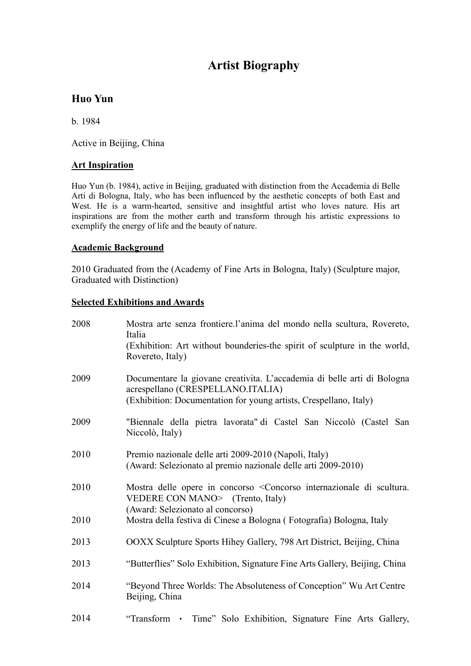# **Artist Biography**

# **Huo Yun**

b. 1984

Active in Beijing, China

## **Art Inspiration**

Huo Yun (b. 1984), active in Beijing, graduated with distinction from the Accademia di Belle Arti di Bologna, Italy, who has been influenced by the aesthetic concepts of both East and West. He is a warm-hearted, sensitive and insightful artist who loves nature. His art inspirations are from the mother earth and transform through his artistic expressions to exemplify the energy of life and the beauty of nature.

### **Academic Background**

2010 Graduated from the (Academy of Fine Arts in Bologna, Italy) (Sculpture major, Graduated with Distinction)

### **Selected Exhibitions and Awards**

| 2008 | Mostra arte senza frontiere.l'anima del mondo nella scultura, Rovereto,<br>Italia<br>(Exhibition: Art without bounderies-the spirit of sculpture in the world,<br>Rovereto, Italy) |
|------|------------------------------------------------------------------------------------------------------------------------------------------------------------------------------------|
| 2009 | Documentare la giovane creativita. L'accademia di belle arti di Bologna<br>acrespellano (CRESPELLANO.ITALIA)<br>(Exhibition: Documentation for young artists, Crespellano, Italy)  |
| 2009 | "Biennale della pietra lavorata" di Castel San Niccolò (Castel San<br>Niccolò, Italy)                                                                                              |
| 2010 | Premio nazionale delle arti 2009-2010 (Napoli, Italy)<br>(Award: Selezionato al premio nazionale delle arti 2009-2010)                                                             |
| 2010 | Mostra delle opere in concorso <concorso di="" internazionale="" scultura.<br="">VEDERE CON MANO&gt; (Trento, Italy)</concorso>                                                    |
| 2010 | (Award: Selezionato al concorso)<br>Mostra della festiva di Cinese a Bologna (Fotografia) Bologna, Italy                                                                           |
| 2013 | OOXX Sculpture Sports Hihey Gallery, 798 Art District, Beijing, China                                                                                                              |
| 2013 | "Butterflies" Solo Exhibition, Signature Fine Arts Gallery, Beijing, China                                                                                                         |
| 2014 | "Beyond Three Worlds: The Absoluteness of Conception" Wu Art Centre<br>Beijing, China                                                                                              |
| 2014 | "Transform • Time" Solo Exhibition, Signature Fine Arts Gallery,                                                                                                                   |